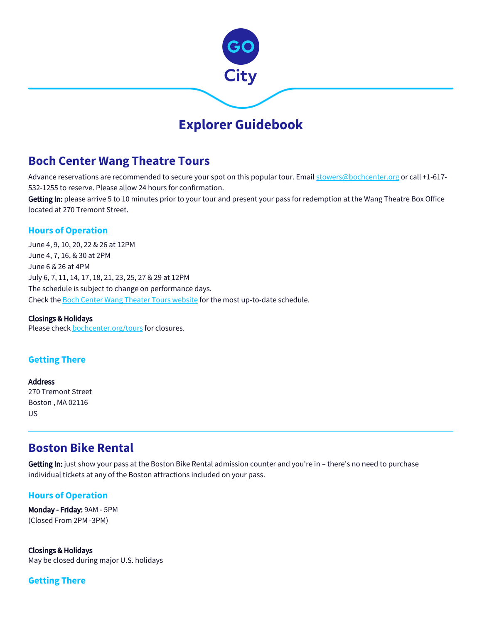

# **Explorer Guidebook**

# **Boch Center Wang Theatre Tours**

Advance reservations are recommended to secure your spot on this popular tour. Email [stowers@bochcenter.org](mailto:stowers@bochcenter.org) or call +1-617-532-1255 to reserve. Please allow 24 hours for confirmation.

Getting In: please arrive 5 to 10 minutes prior to your tour and present your pass for redemption at the Wang Theatre Box Office located at 270 Tremont Street.

## **Hours of Operation**

June 4, 9, 10, 20, 22 & 26 at 12PM June 4, 7, 16, & 30 at 2PM June 6 & 26 at 4PM July 6, 7, 11, 14, 17, 18, 21, 23, 25, 27 & 29 at 12PM The schedule is subject to change on performance days. Check the [Boch Center Wang Theater Tours website](https://www.bochcenter.org/tours) for the most up-to-date schedule.

### Closings & Holidays

Please check [bochcenter.org/tours](https://www.bochcenter.org/tours) for closures.

## **Getting There**

Address 270 Tremont Street Boston , MA 02116 US

## **Boston Bike Rental**

Getting In: just show your pass at the Boston Bike Rental admission counter and you're in - there's no need to purchase individual tickets at any of the Boston attractions included on your pass.

### **Hours of Operation**

Monday - Friday: 9AM - 5PM (Closed From 2PM -3PM)

Closings & Holidays May be closed during major U.S. holidays

**Getting There**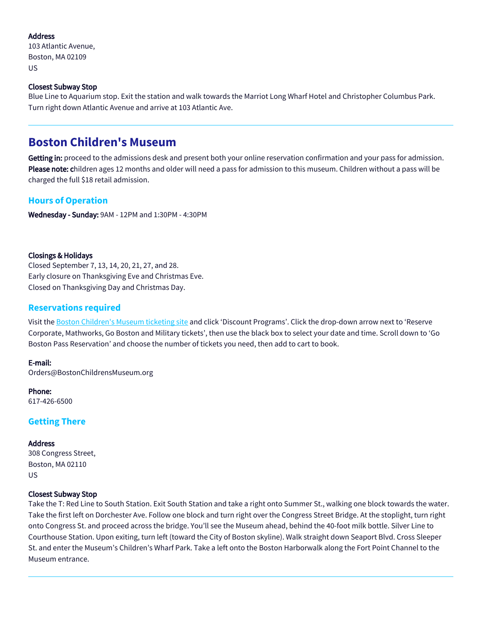#### Address

103 Atlantic Avenue, Boston, MA 02109 US

#### Closest Subway Stop

Blue Line to Aquarium stop. Exit the station and walk towards the Marriot Long Wharf Hotel and Christopher Columbus Park. Turn right down Atlantic Avenue and arrive at 103 Atlantic Ave.

## **Boston Children's Museum**

Getting in: proceed to the admissions desk and present both your online reservation confirmation and your pass for admission. Please note: children ages 12 months and older will need a pass for admission to this museum. Children without a pass will be charged the full \$18 retail admission.

### **Hours of Operation**

Wednesday - Sunday: 9AM - 12PM and 1:30PM - 4:30PM

#### Closings & Holidays

Closed September 7, 13, 14, 20, 21, 27, and 28. Early closure on Thanksgiving Eve and Christmas Eve. Closed on Thanksgiving Day and Christmas Day.

#### **Reservations required**

Visit the [Boston Children's Museum ticketing site](https://www.bostonchildrensmuseum.org/ticketing) and click 'Discount Programs'. Click the drop-down arrow next to 'Reserve Corporate, Mathworks, Go Boston and Military tickets', then use the black box to select your date and time. Scroll down to 'Go Boston Pass Reservation' and choose the number of tickets you need, then add to cart to book.

#### E-mail:

Orders@BostonChildrensMuseum.org

Phone: 617-426-6500

### **Getting There**

#### Address

308 Congress Street, Boston, MA 02110 US

#### Closest Subway Stop

Take the T: Red Line to South Station. Exit South Station and take a right onto Summer St., walking one block towards the water. Take the first left on Dorchester Ave. Follow one block and turn right over the Congress Street Bridge. At the stoplight, turn right onto Congress St. and proceed across the bridge. You'll see the Museum ahead, behind the 40-foot milk bottle. Silver Line to Courthouse Station. Upon exiting, turn left (toward the City of Boston skyline). Walk straight down Seaport Blvd. Cross Sleeper St. and enter the Museum's Children's Wharf Park. Take a left onto the Boston Harborwalk along the Fort Point Channel to the Museum entrance.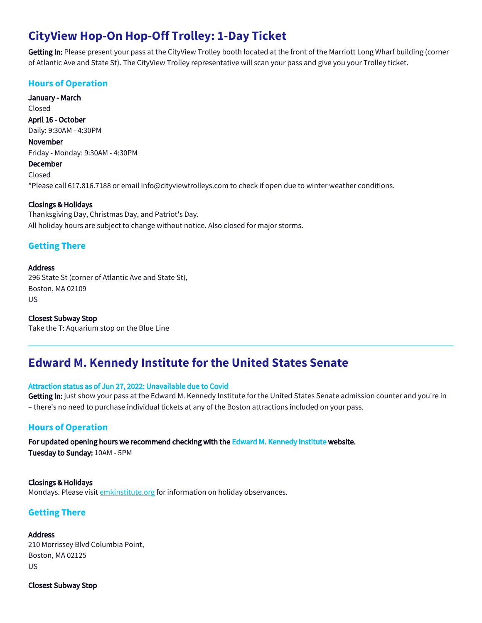# **CityView Hop-On Hop-Off Trolley: 1-Day Ticket**

Getting In: Please present your pass at the CityView Trolley booth located at the front of the Marriott Long Wharf building (corner of Atlantic Ave and State St). The CityView Trolley representative will scan your pass and give you your Trolley ticket.

## **Hours of Operation**

January - March Closed April 16 - October Daily: 9:30AM - 4:30PM November

Friday - Monday: 9:30AM - 4:30PM

## December

Closed \*Please call 617.816.7188 or email info@cityviewtrolleys.com to check if open due to winter weather conditions.

#### Closings & Holidays

Thanksgiving Day, Christmas Day, and Patriot's Day. All holiday hours are subject to change without notice. Also closed for major storms.

## **Getting There**

#### Address

296 State St (corner of Atlantic Ave and State St), Boston, MA 02109 US

Closest Subway Stop Take the T: Aquarium stop on the Blue Line

# **Edward M. Kennedy Institute for the United States Senate**

#### Attraction status as of Jun 27, 2022: Unavailable due to Covid

Getting In: just show your pass at the Edward M. Kennedy Institute for the United States Senate admission counter and you're in – there's no need to purchase individual tickets at any of the Boston attractions included on your pass.

### **Hours of Operation**

For updated opening hours we recommend checking with the [Edward M. Kennedy Institute](https://www.emkinstitute.org/) website. Tuesday to Sunday: 10AM - 5PM

#### Closings & Holidays Mondays. Please visit [emkinstitute.org](https://www.emkinstitute.org/resources/what-youll-experience?gclid=Cj0KEQjwz_TMBRD0jY-RusGilOYBEiQAN-TuFIAv_nZg4dTrh6gmOynpjSes6eC0SwrL8LYoXa0YM2saAqW58P8HAQ) for information on holiday observances.

## **Getting There**

Address 210 Morrissey Blvd Columbia Point, Boston, MA 02125 US

Closest Subway Stop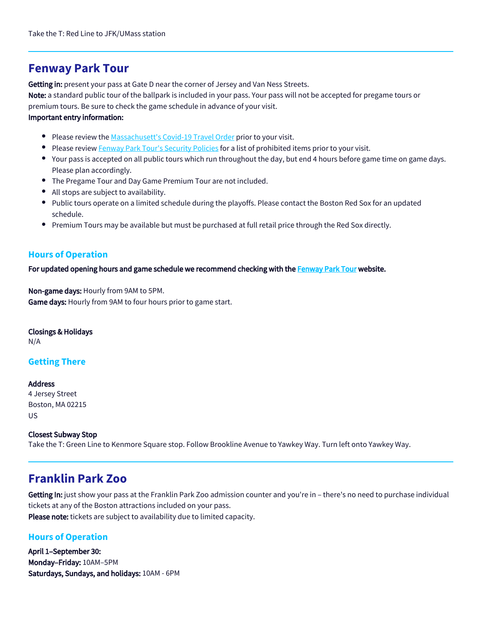## **Fenway Park Tour**

Getting in: present your pass at Gate D near the corner of Jersey and Van Ness Streets.

Note: a standard public tour of the ballpark is included in your pass. Your pass will not be accepted for pregame tours or premium tours. Be sure to check the game schedule in advance of your visit.

#### Important entry information:

- Please review the [Massachusett's Covid-19 Travel Order](https://www.mass.gov/info-details/covid-19-travel-advisory) prior to your visit.
- Please review [Fenway Park Tour's Security Policies](https://www.mlb.com/redsox/ballpark/information/security) for a list of prohibited items prior to your visit.
- Your pass is accepted on all public tours which run throughout the day, but end 4 hours before game time on game days. Please plan accordingly.
- The Pregame Tour and Day Game Premium Tour are not included.
- All stops are subject to availability.
- Public tours operate on a limited schedule during the playoffs. Please contact the Boston Red Sox for an updated schedule.
- Premium Tours may be available but must be purchased at full retail price through the Red Sox directly.

## **Hours of Operation**

For updated opening hours and game schedule we recommend checking with the [Fenway Park Tour](https://www.mlb.com/redsox/ballpark) website.

Non-game days: Hourly from 9AM to 5PM. Game days: Hourly from 9AM to four hours prior to game start.

Closings & Holidays N/A

## **Getting There**

**Address** 4 Jersey Street Boston, MA 02215 US

Closest Subway Stop Take the T: Green Line to Kenmore Square stop. Follow Brookline Avenue to Yawkey Way. Turn left onto Yawkey Way.

# **Franklin Park Zoo**

Getting In: just show your pass at the Franklin Park Zoo admission counter and you're in – there's no need to purchase individual tickets at any of the Boston attractions included on your pass. Please note: tickets are subject to availability due to limited capacity.

## **Hours of Operation**

April 1–September 30: Monday–Friday: 10AM–5PM Saturdays, Sundays, and holidays: 10AM - 6PM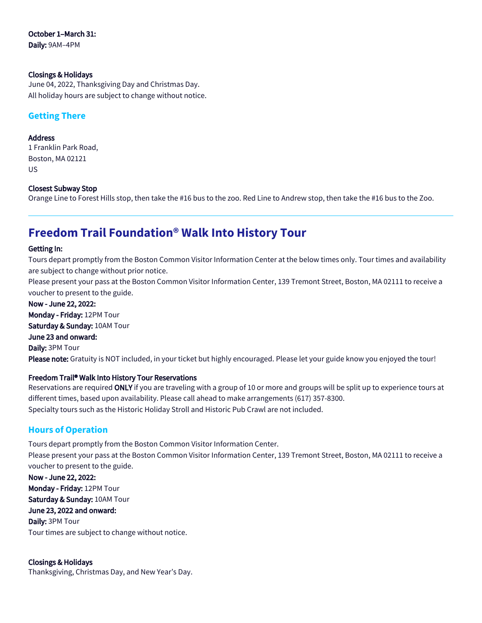# October 1–March 31:

Daily: 9AM–4PM

#### Closings & Holidays

June 04, 2022, Thanksgiving Day and Christmas Day. All holiday hours are subject to change without notice.

## **Getting There**

#### Address

1 Franklin Park Road, Boston, MA 02121 US

#### Closest Subway Stop

Orange Line to Forest Hills stop, then take the #16 bus to the zoo. Red Line to Andrew stop, then take the #16 bus to the Zoo.

# **Freedom Trail Foundation® Walk Into History Tour**

#### Getting In:

Tours depart promptly from the Boston Common Visitor Information Center at the below times only. Tour times and availability are subject to change without prior notice.

Please present your pass at the Boston Common Visitor Information Center, 139 Tremont Street, Boston, MA 02111 to receive a voucher to present to the guide.

Now - June 22, 2022: Monday - Friday: 12PM Tour Saturday & Sunday: 10AM Tour June 23 and onward: Daily: 3PM Tour Please note: Gratuity is NOT included, in your ticket but highly encouraged. Please let your guide know you enjoyed the tour!

### Freedom Trail® Walk Into History Tour Reservations

Reservations are required ONLY if you are traveling with a group of 10 or more and groups will be split up to experience tours at different times, based upon availability. Please call ahead to make arrangements (617) 357-8300. Specialty tours such as the Historic Holiday Stroll and Historic Pub Crawl are not included.

## **Hours of Operation**

Tours depart promptly from the Boston Common Visitor Information Center. Please present your pass at the Boston Common Visitor Information Center, 139 Tremont Street, Boston, MA 02111 to receive a voucher to present to the guide. Now - June 22, 2022: Monday - Friday: 12PM Tour Saturday & Sunday: 10AM Tour June 23, 2022 and onward: Daily: 3PM Tour Tour times are subject to change without notice.

Closings & Holidays Thanksgiving, Christmas Day, and New Year's Day.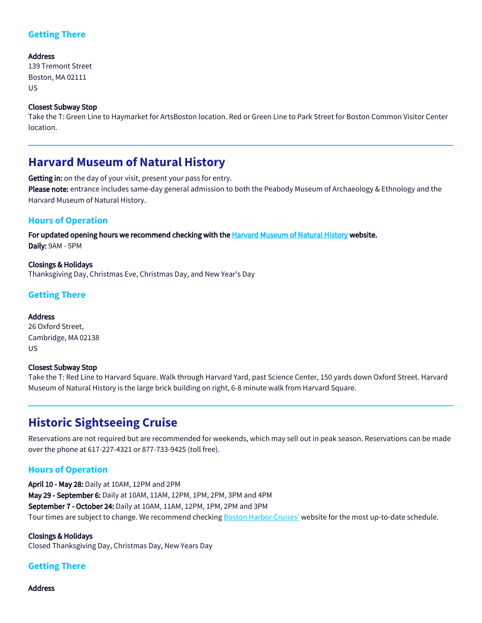## **Getting There**

#### Address

139 Tremont Street Boston, MA 02111 US

#### Closest Subway Stop

Take the T: Green Line to Haymarket for ArtsBoston location. Red or Green Line to Park Street for Boston Common Visitor Center location.

# **Harvard Museum of Natural History**

Getting in: on the day of your visit, present your pass for entry.

Please note: entrance includes same-day general admission to both the Peabody Museum of Archaeology & Ethnology and the Harvard Museum of Natural History.

## **Hours of Operation**

For updated opening hours we recommend checking with the [Harvard Museum of Natural History](https://hmnh.harvard.edu/) website. Daily: 9AM - 5PM

Closings & Holidays Thanksgiving Day, Christmas Eve, Christmas Day, and New Year's Day

## **Getting There**

#### Address

26 Oxford Street, Cambridge, MA 02138 US

#### Closest Subway Stop

Take the T: Red Line to Harvard Square. Walk through Harvard Yard, past Science Center, 150 yards down Oxford Street. Harvard Museum of Natural History is the large brick building on right, 6-8 minute walk from Harvard Square.

# **Historic Sightseeing Cruise**

Reservations are not required but are recommended for weekends, which may sell out in peak season. Reservations can be made over the phone at 617-227-4321 or 877-733-9425 (toll free).

## **Hours of Operation**

April 10 - May 28: Daily at 10AM, 12PM and 2PM May 29 - September 6: Daily at 10AM, 11AM, 12PM, 1PM, 2PM, 3PM and 4PM September 7 - October 24: Daily at 10AM, 11AM, 12PM, 1PM, 2PM and 3PM Tour times are subject to change. We recommend checking [Boston Harbor Cruises'](https://www.cityexperiences.com/boston/city-cruises/boston-harbor/harbor-cruises/historic-sightseeing-cruise/) website for the most up-to-date schedule.

Closings & Holidays Closed Thanksgiving Day, Christmas Day, New Years Day

## **Getting There**

Address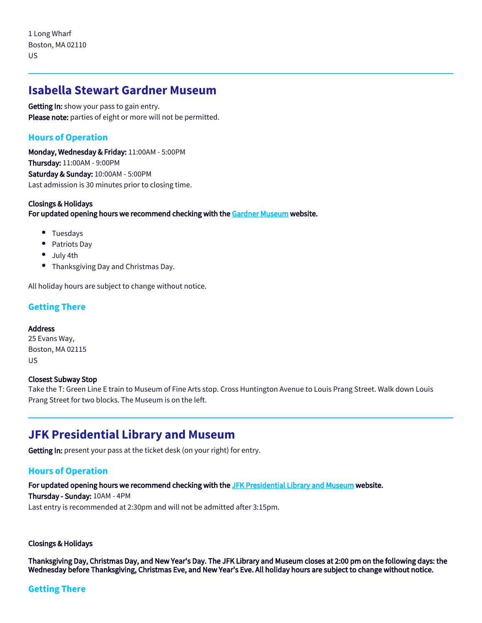## **Isabella Stewart Gardner Museum**

Getting In: show your pass to gain entry. Please note: parties of eight or more will not be permitted.

## **Hours of Operation**

Monday, Wednesday & Friday: 11:00AM - 5:00PM Thursday: 11:00AM - 9:00PM Saturday & Sunday: 10:00AM - 5:00PM Last admission is 30 minutes prior to closing time.

#### Closings & Holidays For updated opening hours we recommend checking with the [Gardner Museum](https://www.gardnermuseum.org/) website.

- Tuesdays
- Patriots Day
- July 4th
- Thanksgiving Day and Christmas Day.

All holiday hours are subject to change without notice.

### **Getting There**

#### Address

25 Evans Way, Boston, MA 02115 US

#### Closest Subway Stop

Take the T: Green Line E train to Museum of Fine Arts stop. Cross Huntington Avenue to Louis Prang Street. Walk down Louis Prang Street for two blocks. The Museum is on the left.

## **JFK Presidential Library and Museum**

Getting In: present your pass at the ticket desk (on your right) for entry.

## **Hours of Operation**

For updated opening hours we recommend checking with the [JFK Presidential Library and Museum](https://www.jfklibrary.org) website. Thursday - Sunday: 10AM - 4PM Last entry is recommended at 2:30pm and will not be admitted after 3:15pm.

#### Closings & Holidays

Thanksgiving Day, Christmas Day, and New Year's Day. The JFK Library and Museum closes at 2:00 pm on the following days: the Wednesday before Thanksgiving, Christmas Eve, and New Year's Eve. All holiday hours are subject to change without notice.

### **Getting There**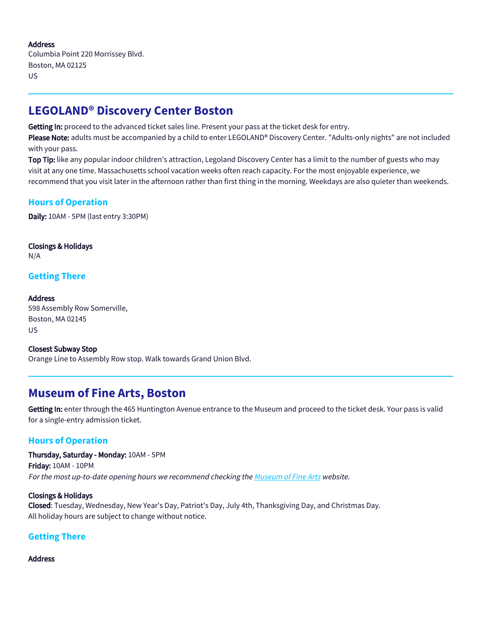#### Address

Columbia Point 220 Morrissey Blvd. Boston, MA 02125 US

# **LEGOLAND® Discovery Center Boston**

Getting In: proceed to the advanced ticket sales line. Present your pass at the ticket desk for entry.

Please Note: adults must be accompanied by a child to enter LEGOLAND® Discovery Center. "Adults-only nights" are not included with your pass.

Top Tip: like any popular indoor children's attraction, Legoland Discovery Center has a limit to the number of guests who may visit at any one time. Massachusetts school vacation weeks often reach capacity. For the most enjoyable experience, we recommend that you visit later in the afternoon rather than first thing in the morning. Weekdays are also quieter than weekends.

## **Hours of Operation**

Daily: 10AM - 5PM (last entry 3:30PM)

Closings & Holidays N/A

## **Getting There**

Address 598 Assembly Row Somerville, Boston, MA 02145 US

Closest Subway Stop Orange Line to Assembly Row stop. Walk towards Grand Union Blvd.

## **Museum of Fine Arts, Boston**

Getting In: enter through the 465 Huntington Avenue entrance to the Museum and proceed to the ticket desk. Your pass is valid for a single-entry admission ticket.

### **Hours of Operation**

Thursday, Saturday - Monday: 10AM - 5PM Friday: 10AM - 10PM For the most up-to-date opening hours we recommend checking the [Museum of Fine Arts](https://www.mfa.org) website.

#### Closings & Holidays

Closed: Tuesday, Wednesday, New Year's Day, Patriot's Day, July 4th, Thanksgiving Day, and Christmas Day. All holiday hours are subject to change without notice.

## **Getting There**

#### Address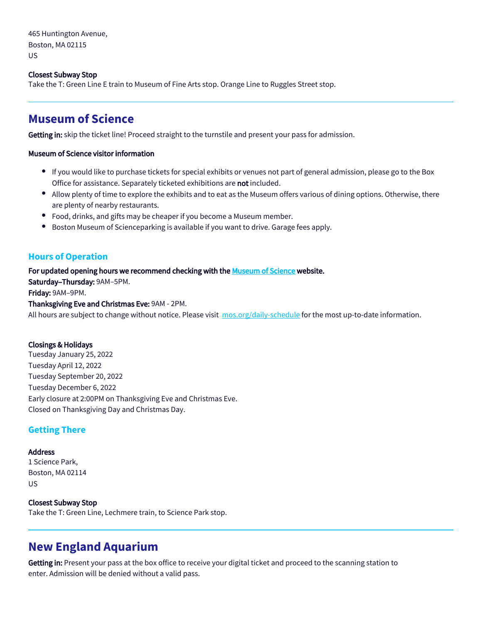465 Huntington Avenue, Boston, MA 02115 US

#### Closest Subway Stop

Take the T: Green Line E train to Museum of Fine Arts stop. Orange Line to Ruggles Street stop.

## **Museum of Science**

Getting in: skip the ticket line! Proceed straight to the turnstile and present your pass for admission.

#### Museum of Science visitor information

- If you would like to purchase tickets for special exhibits or venues not part of general admission, please go to the Box Office for assistance. Separately ticketed exhibitions are not included.
- Allow plenty of time to explore the exhibits and to eat as the Museum offers various of dining options. Otherwise, there are plenty of nearby restaurants.
- Food, drinks, and gifts may be cheaper if you become a Museum member.
- Boston Museum of Scienceparking is available if you want to drive. Garage fees apply.  $\bullet$

#### **Hours of Operation**

#### For updated opening hours we recommend checking with the [Museum of Science](https://www.mos.org) website.

Saturday–Thursday: 9AM–5PM. Friday: 9AM–9PM.

#### Thanksgiving Eve and Christmas Eve: 9AM - 2PM.

All hours are subject to change without notice. Please visit [mos.org/daily-schedule](https://www.mos.org/daily-schedule) for the most up-to-date information.

#### Closings & Holidays

Tuesday January 25, 2022 Tuesday April 12, 2022 Tuesday September 20, 2022 Tuesday December 6, 2022 Early closure at 2:00PM on Thanksgiving Eve and Christmas Eve. Closed on Thanksgiving Day and Christmas Day.

### **Getting There**

#### **Address**

1 Science Park, Boston, MA 02114 US

#### Closest Subway Stop

Take the T: Green Line, Lechmere train, to Science Park stop.

## **New England Aquarium**

Getting in: Present your pass at the box office to receive your digital ticket and proceed to the scanning station to enter. Admission will be denied without a valid pass.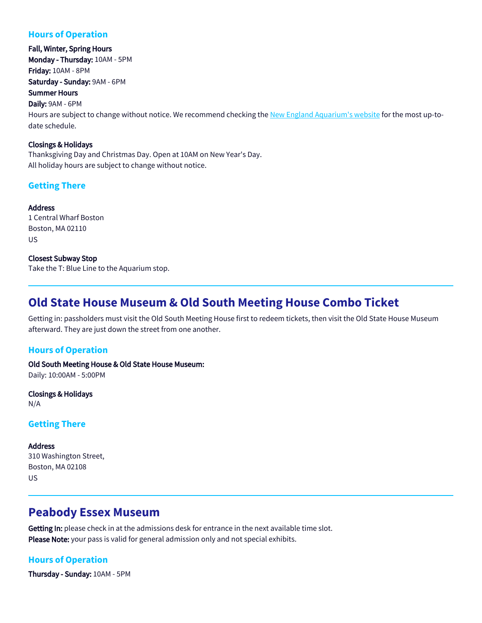## **Hours of Operation**

Fall, Winter, Spring Hours Monday - Thursday: 10AM - 5PM Friday: 10AM - 8PM Saturday - Sunday: 9AM - 6PM Summer Hours Daily: 9AM - 6PM Hours are subject to change without notice. We recommend checking the [New England Aquarium's website](https://www.neaq.org/visit/hours-directions/) for the most up-todate schedule.

#### Closings & Holidays

Thanksgiving Day and Christmas Day. Open at 10AM on New Year's Day. All holiday hours are subject to change without notice.

## **Getting There**

Address 1 Central Wharf Boston Boston, MA 02110 US

Closest Subway Stop Take the T: Blue Line to the Aquarium stop.

## **Old State House Museum & Old South Meeting House Combo Ticket**

Getting in: passholders must visit the Old South Meeting House first to redeem tickets, then visit the Old State House Museum afterward. They are just down the street from one another.

### **Hours of Operation**

Old South Meeting House & Old State House Museum: Daily: 10:00AM - 5:00PM

Closings & Holidays N/A

## **Getting There**

**Address** 310 Washington Street, Boston, MA 02108 US

## **Peabody Essex Museum**

Getting In: please check in at the admissions desk for entrance in the next available time slot. Please Note: your pass is valid for general admission only and not special exhibits.

## **Hours of Operation**

Thursday - Sunday: 10AM - 5PM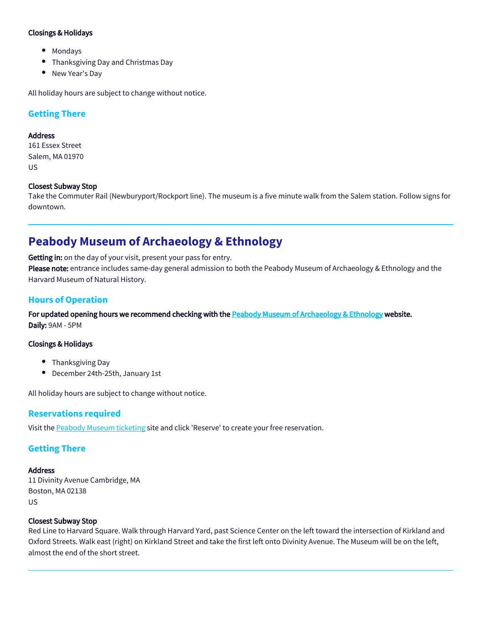#### Closings & Holidays

- Mondays
- Thanksgiving Day and Christmas Day
- New Year's Day

All holiday hours are subject to change without notice.

## **Getting There**

#### Address

161 Essex Street Salem, MA 01970 US

#### Closest Subway Stop

Take the Commuter Rail (Newburyport/Rockport line). The museum is a five minute walk from the Salem station. Follow signs for downtown.

## **Peabody Museum of Archaeology & Ethnology**

Getting in: on the day of your visit, present your pass for entry.

Please note: entrance includes same-day general admission to both the Peabody Museum of Archaeology & Ethnology and the Harvard Museum of Natural History.

### **Hours of Operation**

For updated opening hours we recommend checking with the [Peabody Museum of Archaeology & Ethnology](https://www.peabody.harvard.edu/) website. Daily: 9AM - 5PM

#### Closings & Holidays

- Thanksgiving Day
- December 24th-25th, January 1st

All holiday hours are subject to change without notice.

### **Reservations required**

Visit the [Peabody Museum ticketing](https://hmsc.harvard.edu/visit) site and click 'Reserve' to create your free reservation.

### **Getting There**

#### Address

11 Divinity Avenue Cambridge, MA Boston, MA 02138 US

#### Closest Subway Stop

Red Line to Harvard Square. Walk through Harvard Yard, past Science Center on the left toward the intersection of Kirkland and Oxford Streets. Walk east (right) on Kirkland Street and take the first left onto Divinity Avenue. The Museum will be on the left, almost the end of the short street.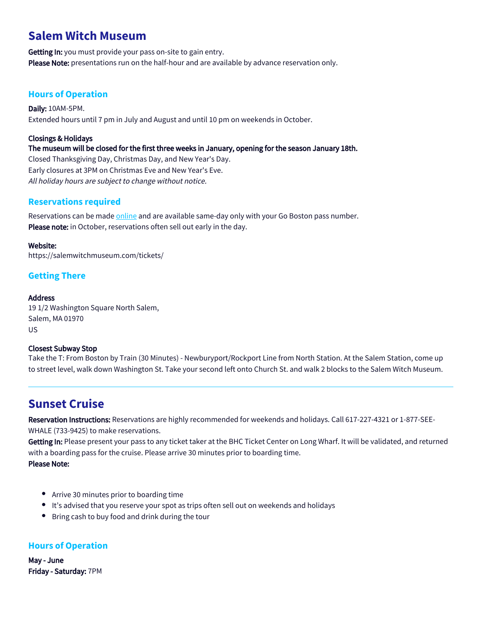# **Salem Witch Museum**

Getting In: you must provide your pass on-site to gain entry. Please Note: presentations run on the half-hour and are available by advance reservation only.

## **Hours of Operation**

Daily: 10AM-5PM. Extended hours until 7 pm in July and August and until 10 pm on weekends in October.

#### Closings & Holidays

The museum will be closed for the first three weeks in January, opening for the season January 18th.

Closed Thanksgiving Day, Christmas Day, and New Year's Day. Early closures at 3PM on Christmas Eve and New Year's Eve. All holiday hours are subject to change without notice.

## **Reservations required**

Reservations can be made [online](https://salemwitchmuseum.com/tickets/) and are available same-day only with your Go Boston pass number. Please note: in October, reservations often sell out early in the day.

#### Website:

https://salemwitchmuseum.com/tickets/

## **Getting There**

#### **Address**

19 1/2 Washington Square North Salem, Salem, MA 01970  $\overline{115}$ 

#### Closest Subway Stop

Take the T: From Boston by Train (30 Minutes) - Newburyport/Rockport Line from North Station. At the Salem Station, come up to street level, walk down Washington St. Take your second left onto Church St. and walk 2 blocks to the Salem Witch Museum.

# **Sunset Cruise**

Reservation Instructions: Reservations are highly recommended for weekends and holidays. Call 617-227-4321 or 1-877-SEE-WHALE (733-9425) to make reservations.

Getting In: Please present your pass to any ticket taker at the BHC Ticket Center on Long Wharf. It will be validated, and returned with a boarding pass for the cruise. Please arrive 30 minutes prior to boarding time.

Please Note:

- Arrive 30 minutes prior to boarding time
- It's advised that you reserve your spot as trips often sell out on weekends and holidays
- **•** Bring cash to buy food and drink during the tour

## **Hours of Operation**

May - June Friday - Saturday: 7PM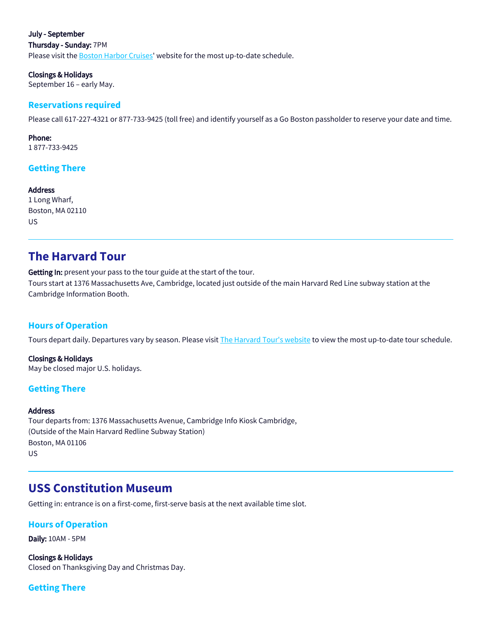July - September Thursday - Sunday: 7PM Please visit the **Boston Harbor Cruises'** website for the most up-to-date schedule.

Closings & Holidays September 16 – early May.

#### **Reservations required**

Please call 617-227-4321 or 877-733-9425 (toll free) and identify yourself as a Go Boston passholder to reserve your date and time.

Phone: 1 877-733-9425

## **Getting There**

Address 1 Long Wharf, Boston, MA 02110 US

## **The Harvard Tour**

Getting In: present your pass to the tour guide at the start of the tour. Tours start at 1376 Massachusetts Ave, Cambridge, located just outside of the main Harvard Red Line subway station at the Cambridge Information Booth.

### **Hours of Operation**

Tours depart daily. Departures vary by season. Please visit [The Harvard Tour's website](https://trademarktours.com/public-harvard-tour) to view the most up-to-date tour schedule.

Closings & Holidays May be closed major U.S. holidays.

### **Getting There**

#### **Address**

Tour departs from: 1376 Massachusetts Avenue, Cambridge Info Kiosk Cambridge, (Outside of the Main Harvard Redline Subway Station) Boston, MA 01106 US

## **USS Constitution Museum**

Getting in: entrance is on a first-come, first-serve basis at the next available time slot.

#### **Hours of Operation**

Daily: 10AM - 5PM

Closings & Holidays Closed on Thanksgiving Day and Christmas Day.

### **Getting There**